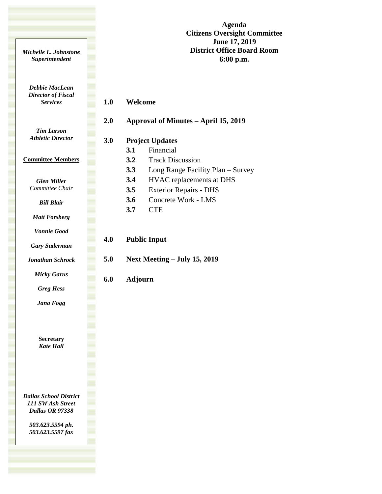**Agenda Citizens Oversight Committee June 17, 2019 District Office Board Room 6:00 p.m.**

*Debbie MacLean Director of Fiscal Services*

*Michelle L. Johnstone Superintendent*

# **1.0 Welcome**

# **2.0 Approval of Minutes – April 15, 2019**

*Tim Larson Athletic Director*

#### **Committee Members**

*Glen Miller Committee Chair*

*Bill Blair*

*Matt Forsberg*

*Vonnie Good*

*Gary Suderman*

*Jonathan Schrock*

*Micky Garus*

*Greg Hess*

*Jana Fogg*

**Secretary** *Kate Hall*

*Dallas School District 111 SW Ash Street Dallas OR 97338*

> *503.623.5594 ph. 503.623.5597 fax*

| 2.0 | Approval of Minutes – April 15, 2019 |                                   |
|-----|--------------------------------------|-----------------------------------|
| 3.0 | <b>Project Updates</b>               |                                   |
|     | 3.1                                  | Financial                         |
|     | 3.2                                  | <b>Track Discussion</b>           |
|     | 3.3                                  | Long Range Facility Plan – Survey |
|     | 3.4                                  | <b>HVAC</b> replacements at DHS   |
|     | 3.5                                  | <b>Exterior Repairs - DHS</b>     |
|     | 3.6                                  | Concrete Work - LMS               |
|     | 3.7                                  | <b>CTE</b>                        |
|     |                                      |                                   |
| 4.0 | <b>Public Input</b>                  |                                   |
| 5.0 | Next Meeting $-$ July 15, 2019       |                                   |
| 6.0 | Adjourn                              |                                   |
|     |                                      |                                   |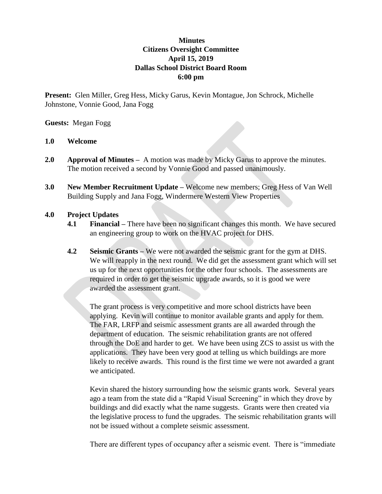# **Minutes Citizens Oversight Committee April 15, 2019 Dallas School District Board Room 6:00 pm**

**Present:** Glen Miller, Greg Hess, Micky Garus, Kevin Montague, Jon Schrock, Michelle Johnstone, Vonnie Good, Jana Fogg

### **Guests:** Megan Fogg

### **1.0 Welcome**

- **2.0 Approval of Minutes** A motion was made by Micky Garus to approve the minutes. The motion received a second by Vonnie Good and passed unanimously.
- **3.0 New Member Recruitment Update –** Welcome new members; Greg Hess of Van Well Building Supply and Jana Fogg, Windermere Western View Properties

## **4.0 Project Updates**

- **4.1 Financial –** There have been no significant changes this month. We have secured an engineering group to work on the HVAC project for DHS.
- **4.2 Seismic Grants –** We were not awarded the seismic grant for the gym at DHS. We will reapply in the next round. We did get the assessment grant which will set us up for the next opportunities for the other four schools. The assessments are required in order to get the seismic upgrade awards, so it is good we were awarded the assessment grant.

The grant process is very competitive and more school districts have been applying. Kevin will continue to monitor available grants and apply for them. The FAR, LRFP and seismic assessment grants are all awarded through the department of education. The seismic rehabilitation grants are not offered through the DoE and harder to get. We have been using ZCS to assist us with the applications. They have been very good at telling us which buildings are more likely to receive awards. This round is the first time we were not awarded a grant we anticipated.

Kevin shared the history surrounding how the seismic grants work. Several years ago a team from the state did a "Rapid Visual Screening" in which they drove by buildings and did exactly what the name suggests. Grants were then created via the legislative process to fund the upgrades. The seismic rehabilitation grants will not be issued without a complete seismic assessment.

There are different types of occupancy after a seismic event. There is "immediate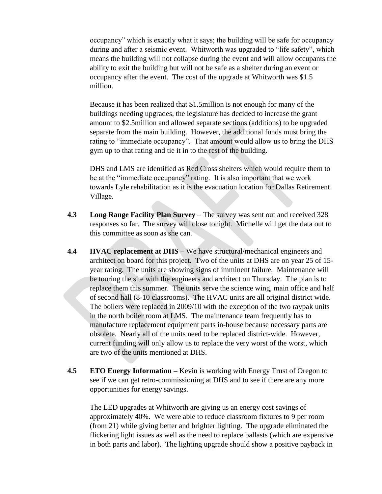occupancy" which is exactly what it says; the building will be safe for occupancy during and after a seismic event. Whitworth was upgraded to "life safety", which means the building will not collapse during the event and will allow occupants the ability to exit the building but will not be safe as a shelter during an event or occupancy after the event. The cost of the upgrade at Whitworth was \$1.5 million.

Because it has been realized that \$1.5million is not enough for many of the buildings needing upgrades, the legislature has decided to increase the grant amount to \$2.5million and allowed separate sections (additions) to be upgraded separate from the main building. However, the additional funds must bring the rating to "immediate occupancy". That amount would allow us to bring the DHS gym up to that rating and tie it in to the rest of the building.

DHS and LMS are identified as Red Cross shelters which would require them to be at the "immediate occupancy" rating. It is also important that we work towards Lyle rehabilitation as it is the evacuation location for Dallas Retirement Village.

- **4.3 Long Range Facility Plan Survey** The survey was sent out and received 328 responses so far. The survey will close tonight. Michelle will get the data out to this committee as soon as she can.
- **4.4 HVAC replacement at DHS –** We have structural/mechanical engineers and architect on board for this project. Two of the units at DHS are on year 25 of 15 year rating. The units are showing signs of imminent failure. Maintenance will be touring the site with the engineers and architect on Thursday. The plan is to replace them this summer. The units serve the science wing, main office and half of second hall (8-10 classrooms). The HVAC units are all original district wide. The boilers were replaced in 2009/10 with the exception of the two raypak units in the north boiler room at LMS. The maintenance team frequently has to manufacture replacement equipment parts in-house because necessary parts are obsolete. Nearly all of the units need to be replaced district-wide. However, current funding will only allow us to replace the very worst of the worst, which are two of the units mentioned at DHS.
- **4.5 ETO Energy Information –** Kevin is working with Energy Trust of Oregon to see if we can get retro-commissioning at DHS and to see if there are any more opportunities for energy savings.

The LED upgrades at Whitworth are giving us an energy cost savings of approximately 40%. We were able to reduce classroom fixtures to 9 per room (from 21) while giving better and brighter lighting. The upgrade eliminated the flickering light issues as well as the need to replace ballasts (which are expensive in both parts and labor). The lighting upgrade should show a positive payback in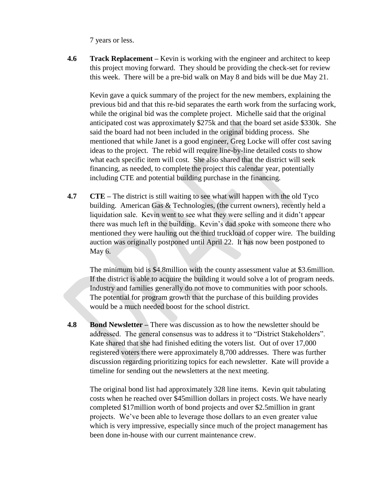7 years or less.

**4.6 Track Replacement –** Kevin is working with the engineer and architect to keep this project moving forward. They should be providing the check-set for review this week. There will be a pre-bid walk on May 8 and bids will be due May 21.

Kevin gave a quick summary of the project for the new members, explaining the previous bid and that this re-bid separates the earth work from the surfacing work, while the original bid was the complete project. Michelle said that the original anticipated cost was approximately \$275k and that the board set aside \$330k. She said the board had not been included in the original bidding process. She mentioned that while Janet is a good engineer, Greg Locke will offer cost saving ideas to the project. The rebid will require line-by-line detailed costs to show what each specific item will cost. She also shared that the district will seek financing, as needed, to complete the project this calendar year, potentially including CTE and potential building purchase in the financing.

**4.7 CTE** – The district is still waiting to see what will happen with the old Tyco building. American Gas & Technologies, (the current owners), recently held a liquidation sale. Kevin went to see what they were selling and it didn't appear there was much left in the building. Kevin's dad spoke with someone there who mentioned they were hauling out the third truckload of copper wire. The building auction was originally postponed until April 22. It has now been postponed to May 6.

The minimum bid is \$4.8million with the county assessment value at \$3.6million. If the district is able to acquire the building it would solve a lot of program needs. Industry and families generally do not move to communities with poor schools. The potential for program growth that the purchase of this building provides would be a much needed boost for the school district.

**4.8 Bond Newsletter –** There was discussion as to how the newsletter should be addressed. The general consensus was to address it to "District Stakeholders". Kate shared that she had finished editing the voters list. Out of over 17,000 registered voters there were approximately 8,700 addresses. There was further discussion regarding prioritizing topics for each newsletter. Kate will provide a timeline for sending out the newsletters at the next meeting.

The original bond list had approximately 328 line items. Kevin quit tabulating costs when he reached over \$45million dollars in project costs. We have nearly completed \$17million worth of bond projects and over \$2.5million in grant projects. We've been able to leverage those dollars to an even greater value which is very impressive, especially since much of the project management has been done in-house with our current maintenance crew.